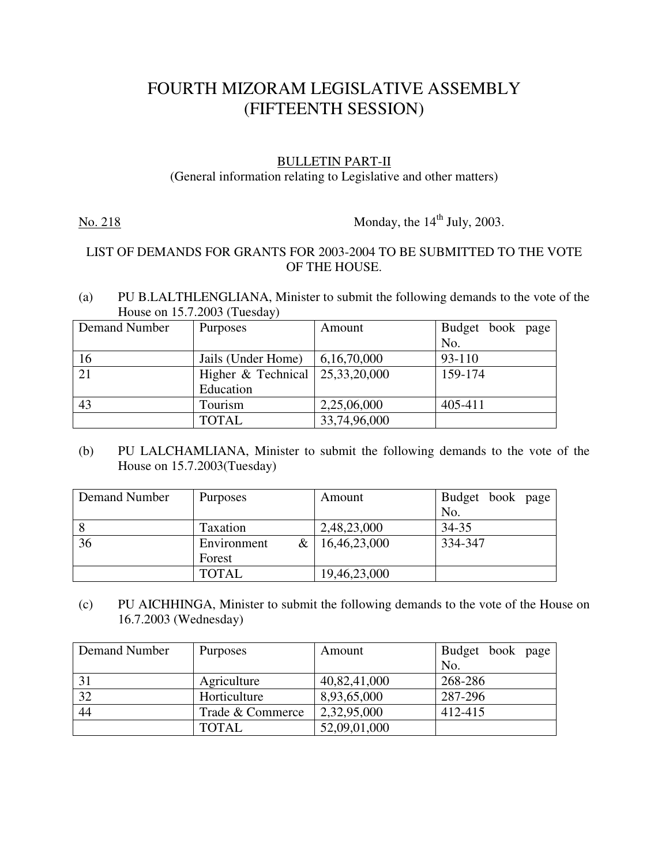## FOURTH MIZORAM LEGISLATIVE ASSEMBLY (FIFTEENTH SESSION)

## BULLETIN PART-II

(General information relating to Legislative and other matters)

No. 218 Monday, the  $14<sup>th</sup>$  July, 2003.

## LIST OF DEMANDS FOR GRANTS FOR 2003-2004 TO BE SUBMITTED TO THE VOTE OF THE HOUSE.

(a) PU B.LALTHLENGLIANA, Minister to submit the following demands to the vote of the House on 15.7.2003 (Tuesday)

| Demand Number | <b>Purposes</b>      | Amount          | Budget book page |
|---------------|----------------------|-----------------|------------------|
|               |                      |                 | No.              |
| 16            | Jails (Under Home)   | 6,16,70,000     | 93-110           |
| 21            | Higher $&$ Technical | 25, 33, 20, 000 | 159-174          |
|               | Education            |                 |                  |
| 43            | Tourism              | 2,25,06,000     | 405-411          |
|               | <b>TOTAL</b>         | 33,74,96,000    |                  |

(b) PU LALCHAMLIANA, Minister to submit the following demands to the vote of the House on 15.7.2003(Tuesday)

| Demand Number | <b>Purposes</b>  | Amount       | Budget book page |
|---------------|------------------|--------------|------------------|
|               |                  |              | No.              |
| l 8           | Taxation         | 2,48,23,000  | 34-35            |
| 36            | &<br>Environment | 16,46,23,000 | 334-347          |
|               | Forest           |              |                  |
|               | <b>TOTAL</b>     | 19,46,23,000 |                  |

(c) PU AICHHINGA, Minister to submit the following demands to the vote of the House on 16.7.2003 (Wednesday)

| Demand Number | <b>Purposes</b>  | Amount       | Budget book page |
|---------------|------------------|--------------|------------------|
|               |                  |              | No.              |
| 31            | Agriculture      | 40,82,41,000 | 268-286          |
| 32            | Horticulture     | 8,93,65,000  | 287-296          |
| 44            | Trade & Commerce | 2,32,95,000  | 412-415          |
|               | TOTAL            | 52,09,01,000 |                  |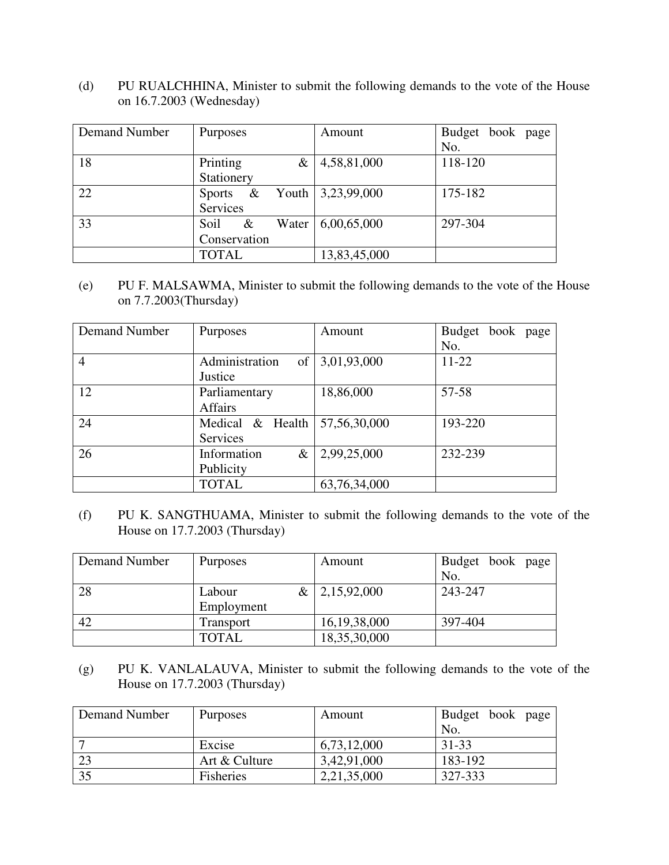(d) PU RUALCHHINA, Minister to submit the following demands to the vote of the House on 16.7.2003 (Wednesday)

| Demand Number | Purposes           | Amount                          | Budget book page |
|---------------|--------------------|---------------------------------|------------------|
|               |                    |                                 | No.              |
| 18            | Printing<br>&      | 4,58,81,000                     | 118-120          |
|               | Stationery         |                                 |                  |
| 22            | &<br><b>Sports</b> | Youth $\vert 3,23,99,000 \vert$ | 175-182          |
|               | Services           |                                 |                  |
| 33            | &<br>Water<br>Soil | 6,00,65,000                     | 297-304          |
|               | Conservation       |                                 |                  |
|               | <b>TOTAL</b>       | 13,83,45,000                    |                  |

(e) PU F. MALSAWMA, Minister to submit the following demands to the vote of the House on 7.7.2003(Thursday)

| Demand Number  | Purposes                         | Amount       | Budget<br>book page<br>No. |
|----------------|----------------------------------|--------------|----------------------------|
| $\overline{4}$ | Administration<br>of<br>Justice  | 3,01,93,000  | $11-22$                    |
| 12             | Parliamentary<br><b>Affairs</b>  | 18,86,000    | 57-58                      |
| 24             | Medical & Health<br>Services     | 57,56,30,000 | 193-220                    |
| 26             | Information<br>$\&$<br>Publicity | 2,99,25,000  | 232-239                    |
|                | <b>TOTAL</b>                     | 63,76,34,000 |                            |

(f) PU K. SANGTHUAMA, Minister to submit the following demands to the vote of the House on 17.7.2003 (Thursday)

| Demand Number | <b>Purposes</b>     | Amount                    | Budget book page |
|---------------|---------------------|---------------------------|------------------|
|               |                     |                           | No.              |
| 28            | $\&\perp$<br>Labour | $\vert 2,15,92,000 \vert$ | 243-247          |
|               | Employment          |                           |                  |
| 42            | Transport           | 16, 19, 38, 000           | 397-404          |
|               | <b>TOTAL</b>        | 18,35,30,000              |                  |

(g) PU K. VANLALAUVA, Minister to submit the following demands to the vote of the House on 17.7.2003 (Thursday)

| Demand Number | <b>Purposes</b> | Amount      | Budget book page |
|---------------|-----------------|-------------|------------------|
|               |                 |             | No.              |
|               | Excise          | 6,73,12,000 | 31-33            |
| 23            | Art & Culture   | 3,42,91,000 | 183-192          |
| 35            | Fisheries       | 2,21,35,000 | 327-333          |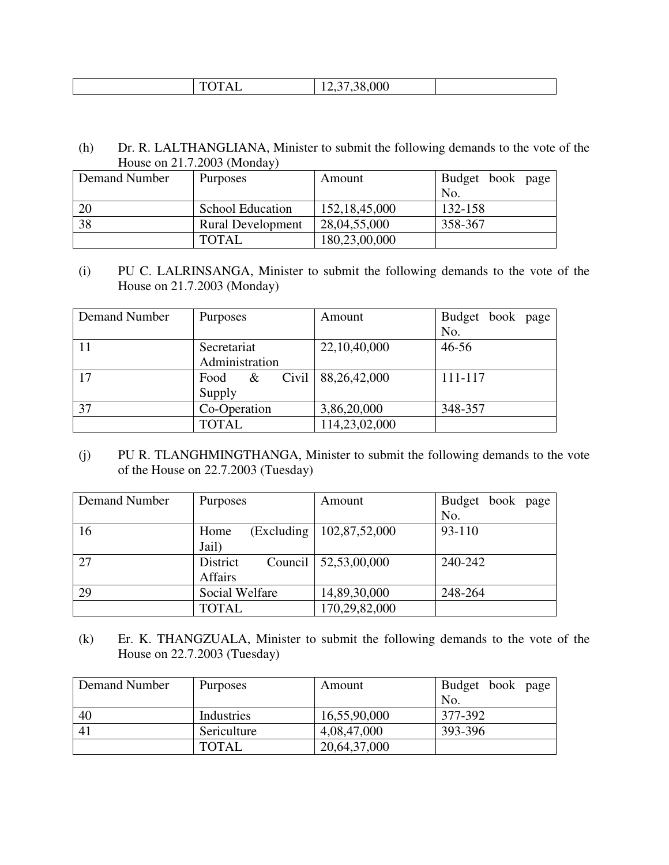| 101112<br>. <i>.</i> |
|----------------------|
|----------------------|

(h) Dr. R. LALTHANGLIANA, Minister to submit the following demands to the vote of the House on 21.7.2003 (Monday)

| Demand Number | Purposes                 | Amount           | Budget book page |
|---------------|--------------------------|------------------|------------------|
|               |                          |                  | No.              |
| <sup>20</sup> | <b>School Education</b>  | 152, 18, 45, 000 | 132-158          |
| 38            | <b>Rural Development</b> | 28,04,55,000     | 358-367          |
|               | <b>TOTAL</b>             | 180,23,00,000    |                  |

(i) PU C. LALRINSANGA, Minister to submit the following demands to the vote of the House on 21.7.2003 (Monday)

| Demand Number | Purposes           | Amount        | Budget book page |
|---------------|--------------------|---------------|------------------|
|               |                    |               | No.              |
| $-11$         | Secretariat        | 22,10,40,000  | $46 - 56$        |
|               | Administration     |               |                  |
| 17            | Civil<br>Food<br>& | 88,26,42,000  | 111-117          |
|               | Supply             |               |                  |
| 37            | Co-Operation       | 3,86,20,000   | 348-357          |
|               | <b>TOTAL</b>       | 114,23,02,000 |                  |

(j) PU R. TLANGHMINGTHANGA, Minister to submit the following demands to the vote of the House on 22.7.2003 (Tuesday)

| Demand Number | Purposes              | Amount                     | Budget book page |
|---------------|-----------------------|----------------------------|------------------|
|               |                       |                            | No.              |
| 16            | (Excluding<br>Home    | 102,87,52,000              | 93-110           |
|               | Jail)                 |                            |                  |
| 27            | Council  <br>District | $\vert 52,53,00,000 \vert$ | 240-242          |
|               | Affairs               |                            |                  |
| 29            | Social Welfare        | 14,89,30,000               | 248-264          |
|               | <b>TOTAL</b>          | 170,29,82,000              |                  |

(k) Er. K. THANGZUALA, Minister to submit the following demands to the vote of the House on 22.7.2003 (Tuesday)

| Demand Number | <b>Purposes</b> | Amount       | Budget book page |
|---------------|-----------------|--------------|------------------|
|               |                 |              | No               |
| 40            | Industries      | 16,55,90,000 | 377-392          |
| -41           | Sericulture     | 4,08,47,000  | 393-396          |
|               | <b>TOTAL</b>    | 20,64,37,000 |                  |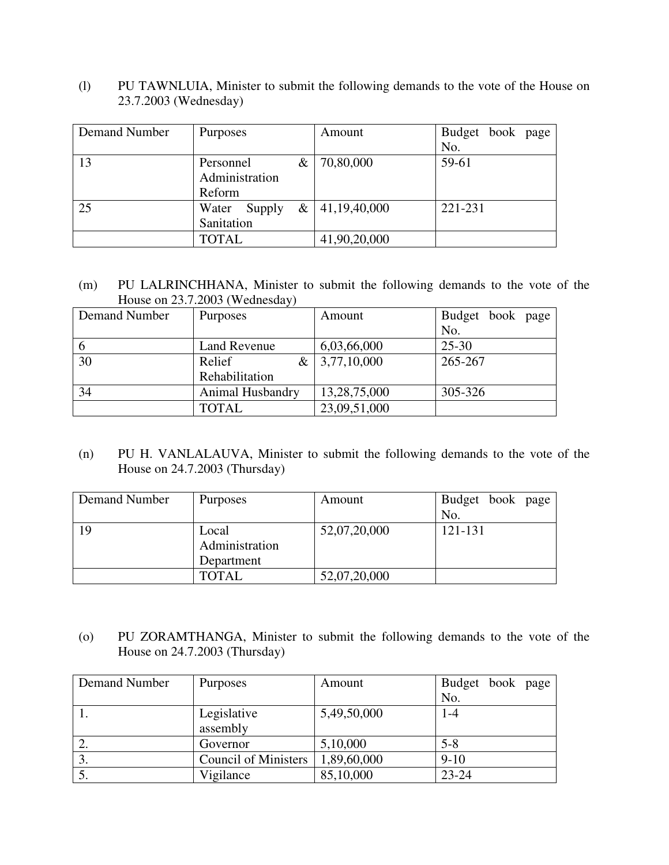(l) PU TAWNLUIA, Minister to submit the following demands to the vote of the House on 23.7.2003 (Wednesday)

| Demand Number | <b>Purposes</b>                     | Amount           | Budget book page |
|---------------|-------------------------------------|------------------|------------------|
|               |                                     |                  | No.              |
| 13            | $\&$<br>Personnel<br>Administration | 70,80,000        | 59-61            |
|               | Reform                              |                  |                  |
| 25            | Water<br>Supply                     | $&$ 41,19,40,000 | 221-231          |
|               | Sanitation                          |                  |                  |
|               | <b>TOTAL</b>                        | 41,90,20,000     |                  |

(m) PU LALRINCHHANA, Minister to submit the following demands to the vote of the House on 23.7.2003 (Wednesday)

| Demand Number | <b>Purposes</b>     | Amount       | Budget book page |
|---------------|---------------------|--------------|------------------|
|               |                     |              | No.              |
| -6            | <b>Land Revenue</b> | 6,03,66,000  | $25 - 30$        |
| 30            | Relief<br>&         | 3,77,10,000  | 265-267          |
|               | Rehabilitation      |              |                  |
| 34            | Animal Husbandry    | 13,28,75,000 | 305-326          |
|               | TOTAL               | 23,09,51,000 |                  |

(n) PU H. VANLALAUVA, Minister to submit the following demands to the vote of the House on 24.7.2003 (Thursday)

| Demand Number | <b>Purposes</b> | Amount       | Budget book page |
|---------------|-----------------|--------------|------------------|
|               |                 |              | No.              |
| 19            | Local           | 52,07,20,000 | 121-131          |
|               | Administration  |              |                  |
|               | Department      |              |                  |
|               | <b>TOTAL</b>    | 52,07,20,000 |                  |

(o) PU ZORAMTHANGA, Minister to submit the following demands to the vote of the House on 24.7.2003 (Thursday)

| Demand Number | <b>Purposes</b>             | Amount      | Budget book page |
|---------------|-----------------------------|-------------|------------------|
|               |                             |             | No.              |
|               | Legislative                 | 5,49,50,000 | $1 - 4$          |
|               | assembly                    |             |                  |
| 2.            | Governor                    | 5,10,000    | $5 - 8$          |
|               | <b>Council of Ministers</b> | 1,89,60,000 | $9-10$           |
|               | Vigilance                   | 85,10,000   | $23 - 24$        |